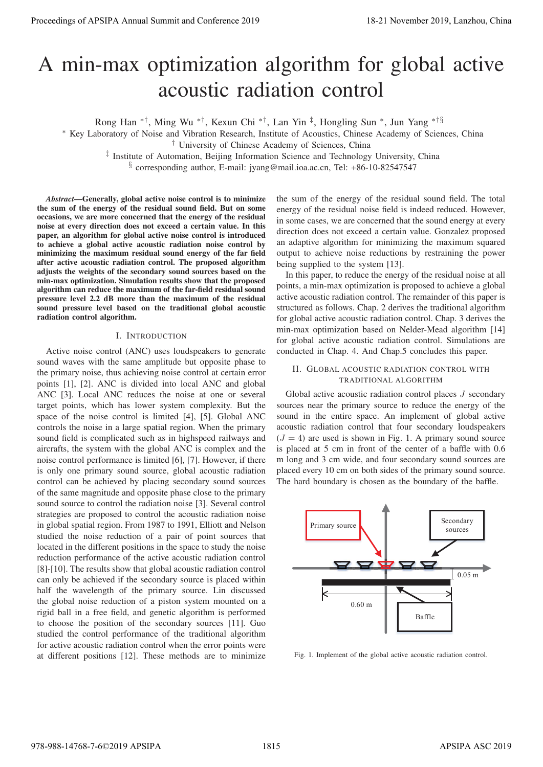# A min-max optimization algorithm for global active acoustic radiation control

Rong Han ∗†, Ming Wu ∗†, Kexun Chi ∗†, Lan Yin ‡, Hongling Sun ∗, Jun Yang ∗†§

∗ Key Laboratory of Noise and Vibration Research, Institute of Acoustics, Chinese Academy of Sciences, China

† University of Chinese Academy of Sciences, China

‡ Institute of Automation, Beijing Information Science and Technology University, China

§ corresponding author, E-mail: jyang@mail.ioa.ac.cn, Tel: +86-10-82547547

*Abstract*—Generally, global active noise control is to minimize the sum of the energy of the residual sound field. But on some occasions, we are more concerned that the energy of the residual noise at every direction does not exceed a certain value. In this paper, an algorithm for global active noise control is introduced to achieve a global active acoustic radiation noise control by minimizing the maximum residual sound energy of the far field after active acoustic radiation control. The proposed algorithm adjusts the weights of the secondary sound sources based on the min-max optimization. Simulation results show that the proposed algorithm can reduce the maximum of the far-field residual sound pressure level 2.2 dB more than the maximum of the residual sound pressure level based on the traditional global acoustic radiation control algorithm.

## I. INTRODUCTION

Active noise control (ANC) uses loudspeakers to generate sound waves with the same amplitude but opposite phase to the primary noise, thus achieving noise control at certain error points [1], [2]. ANC is divided into local ANC and global ANC [3]. Local ANC reduces the noise at one or several target points, which has lower system complexity. But the space of the noise control is limited [4], [5]. Global ANC controls the noise in a large spatial region. When the primary sound field is complicated such as in highspeed railways and aircrafts, the system with the global ANC is complex and the noise control performance is limited [6], [7]. However, if there is only one primary sound source, global acoustic radiation control can be achieved by placing secondary sound sources of the same magnitude and opposite phase close to the primary sound source to control the radiation noise [3]. Several control strategies are proposed to control the acoustic radiation noise in global spatial region. From 1987 to 1991, Elliott and Nelson studied the noise reduction of a pair of point sources that located in the different positions in the space to study the noise reduction performance of the active acoustic radiation control [8]-[10]. The results show that global acoustic radiation control can only be achieved if the secondary source is placed within half the wavelength of the primary source. Lin discussed the global noise reduction of a piston system mounted on a rigid ball in a free field, and genetic algorithm is performed to choose the position of the secondary sources [11]. Guo studied the control performance of the traditional algorithm for active acoustic radiation control when the error points were at different positions [12]. These methods are to minimize Proceeding of APSIPA Annual Summit at Co-Co-co-2019 182<br>
A mini-THIX COUNTIFICATION algorithm for global activity and Counting the state of APSIPA Annual Summit and Counting the state of APSIPA Annual Summit and Counting

the sum of the energy of the residual sound field. The total energy of the residual noise field is indeed reduced. However, in some cases, we are concerned that the sound energy at every direction does not exceed a certain value. Gonzalez proposed an adaptive algorithm for minimizing the maximum squared output to achieve noise reductions by restraining the power being supplied to the system [13].

In this paper, to reduce the energy of the residual noise at all points, a min-max optimization is proposed to achieve a global active acoustic radiation control. The remainder of this paper is structured as follows. Chap. 2 derives the traditional algorithm for global active acoustic radiation control. Chap. 3 derives the min-max optimization based on Nelder-Mead algorithm [14] for global active acoustic radiation control. Simulations are conducted in Chap. 4. And Chap.5 concludes this paper.

#### II. GLOBAL ACOUSTIC RADIATION CONTROL WITH TRADITIONAL ALGORITHM

Global active acoustic radiation control places  $J$  secondary sources near the primary source to reduce the energy of the sound in the entire space. An implement of global active acoustic radiation control that four secondary loudspeakers  $(J = 4)$  are used is shown in Fig. 1. A primary sound source is placed at 5 cm in front of the center of a baffle with 0.6 m long and 3 cm wide, and four secondary sound sources are placed every 10 cm on both sides of the primary sound source. The hard boundary is chosen as the boundary of the baffle.



Fig. 1. Implement of the global active acoustic radiation control.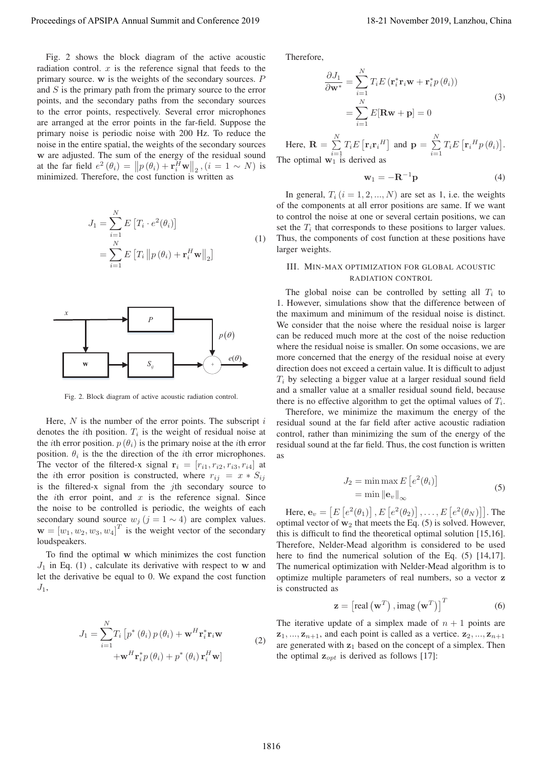Fig. 2 shows the block diagram of the active acoustic radiation control.  $x$  is the reference signal that feeds to the primary source. **<sup>w</sup>** is the weights of the secondary sources. P and  $S$  is the primary path from the primary source to the error points, and the secondary paths from the secondary sources to the error points, respectively. Several error microphones are arranged at the error points in the far-field. Suppose the primary noise is periodic noise with 200 Hz. To reduce the noise in the entire spatial, the weights of the secondary sources **w** are adjusted. The sum of the energy of the residual sound at the far field  $e^2 (\theta_i) = ||p(\theta_i) + \mathbf{r}_i^H \mathbf{w}||_2$ ,  $(i = 1 \sim N)$  is<br>minimized. Therefore, the cost function is written as minimized. Therefore, the cost function is written as

$$
J_1 = \sum_{i=1}^{N} E\left[T_i \cdot e^2(\theta_i)\right]
$$
  
= 
$$
\sum_{i=1}^{N} E\left[T_i \left\|p(\theta_i) + \mathbf{r}_i^H \mathbf{w}\right\|_2\right]
$$
 (1)



Fig. 2. Block diagram of active acoustic radiation control.

Here,  $N$  is the number of the error points. The subscript  $i$ denotes the *i*th position.  $T_i$  is the weight of residual noise at the *i*th error position.  $p(\theta_i)$  is the primary noise at the *i*th error position.  $\theta_i$  is the the direction of the *i*th error microphones. The vector of the filtered-x signal  $\mathbf{r}_i = [r_{i1}, r_{i2}, r_{i3}, r_{i4}]$  at the *i*th error position is constructed, where  $r_{ij} = x * S_{ij}$ is the filtered-x signal from the  $j$ th secondary source to the *i*th error point, and  $x$  is the reference signal. Since the noise to be controlled is periodic, the weights of each secondary sound source  $w_j$  ( $j = 1 \sim 4$ ) are complex values.  $\mathbf{w} = [w_1, w_2, w_3, w_4]^T$  is the weight vector of the secondary loudspeakers. Proceeding of APSIPA Annual Summit and Conference 2019<br>
Procedure 2019, China Annual Summit and Lanzhou, Theodore 2019<br>
matterial conference 2019 in the conference 2019 in the conference 2019<br>
matterial conference 2019 an

To find the optimal **w** which minimizes the cost function  $J_1$  in Eq. (1), calculate its derivative with respect to **w** and let the derivative be equal to 0. We expand the cost function  $J_1$ ,

$$
J_1 = \sum_{i=1}^{N} T_i \left[ p^* \left( \theta_i \right) p \left( \theta_i \right) + \mathbf{w}^H \mathbf{r}_i^* \mathbf{r}_i \mathbf{w} \right]
$$
  
+ 
$$
\mathbf{w}^H \mathbf{r}_i^* p \left( \theta_i \right) + p^* \left( \theta_i \right) \mathbf{r}_i^H \mathbf{w}
$$
 (2)

Therefore,

$$
\frac{\partial J_1}{\partial \mathbf{w}^*} = \sum_{i=1}^N T_i E(\mathbf{r}_i^* \mathbf{r}_i \mathbf{w} + \mathbf{r}_i^* p(\theta_i))
$$
  
= 
$$
\sum_{i=1}^N E[\mathbf{R} \mathbf{w} + \mathbf{p}] = 0
$$
 (3)

Here,  $\mathbf{R} = \sum_{i=1}^{N}$  $\sum_{i=1}^{N} T_i E\left[ \mathbf{r}_i \mathbf{r}_i^H \right]$  and  $\mathbf{p} = \sum_{i=1}^{N}$  $\sum_{i=1}^{N} T_i E\left[\mathbf{r}_i^H p\left(\theta_i\right)\right].$ The optimal  $w_1$  is derived as

$$
\mathbf{w}_1 = -\mathbf{R}^{-1}\mathbf{p} \tag{4}
$$

In general,  $T_i$   $(i = 1, 2, ..., N)$  are set as 1, i.e. the weights of the components at all error positions are same. If we want to control the noise at one or several certain positions, we can set the  $T_i$  that corresponds to these positions to larger values. Thus, the components of cost function at these positions have larger weights.

### III. MIN-MAX OPTIMIZATION FOR GLOBAL ACOUSTIC RADIATION CONTROL

The global noise can be controlled by setting all  $T_i$  to 1. However, simulations show that the difference between of the maximum and minimum of the residual noise is distinct. We consider that the noise where the residual noise is larger can be reduced much more at the cost of the noise reduction where the residual noise is smaller. On some occasions, we are more concerned that the energy of the residual noise at every direction does not exceed a certain value. It is difficult to adjust  $T<sub>i</sub>$  by selecting a bigger value at a larger residual sound field and a smaller value at a smaller residual sound field, because there is no effective algorithm to get the optimal values of  $T_i$ .

Therefore, we minimize the maximum the energy of the residual sound at the far field after active acoustic radiation control, rather than minimizing the sum of the energy of the residual sound at the far field. Thus, the cost function is written as

$$
J_2 = \min \max E\left[e^2(\theta_i)\right]
$$
  
=  $\min ||\mathbf{e}_v||_{\infty}$  (5)

Here,  $\mathbf{e}_v = \left[ E\left[ e^2(\theta_1) \right], E\left[ e^2(\theta_2) \right], \dots, E\left[ e^2(\theta_N) \right] \right]$ . The timel vector of  $\mathbf{w}_v$  that meets the Eq. (5) is solved. However optimal vector of  $w_2$  that meets the Eq. (5) is solved. However, this is difficult to find the theoretical optimal solution [15,16]. Therefore, Nelder-Mead algorithm is considered to be used here to find the numerical solution of the Eq.  $(5)$  [14,17]. The numerical optimization with Nelder-Mead algorithm is to optimize multiple parameters of real numbers, so a vector **z** is constructed as

$$
\mathbf{z} = \left[ \text{real} \left( \mathbf{w}^T \right), \text{imag} \left( \mathbf{w}^T \right) \right]^T \tag{6}
$$

The iterative update of a simplex made of  $n + 1$  points are  $\mathbf{z}_1, \ldots, \mathbf{z}_{n+1}$ , and each point is called as a vertice.  $\mathbf{z}_2, \ldots, \mathbf{z}_{n+1}$ are generated with **z**<sup>1</sup> based on the concept of a simplex. Then the optimal  $\mathbf{z}_{opt}$  is derived as follows [17]: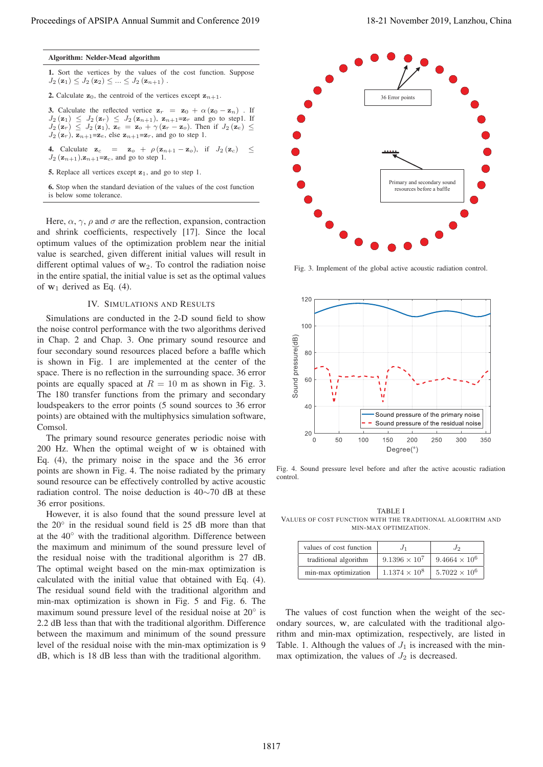### Algorithm: Nelder-Mead algorithm

1. Sort the vertices by the values of the cost function. Suppose  $J_2(\mathbf{z}_1) \leq J_2(\mathbf{z}_2) \leq ... \leq J_2(\mathbf{z}_{n+1})$ .

**2.** Calculate  $z_0$ , the centroid of the vertices except  $z_{n+1}$ .

**3.** Calculate the reflected vertice  $z_r = z_0 + \alpha (z_0 - z_n)$ . If  $J_2(\mathbf{z}_1) \leq J_2(\mathbf{z}_r) \leq J_2(\mathbf{z}_{n+1}), \mathbf{z}_{n+1} = \mathbf{z}_r$  and go to step1. If  $J_2(\mathbf{z}_r) \leq J_2(\mathbf{z}_1)$ ,  $\mathbf{z}_e = \mathbf{z}_o + \gamma(\mathbf{z}_r - \mathbf{z}_o)$ . Then if  $J_2(\mathbf{z}_e) \leq$  $J_2(\mathbf{z}_r)$ ,  $\mathbf{z}_{n+1} = \mathbf{z}_e$ , else  $\mathbf{z}_{n+1} = \mathbf{z}_r$ , and go to step 1.

4. Calculate  $\mathbf{z}_c = \mathbf{z}_o + \rho(\mathbf{z}_{n+1} - \mathbf{z}_o)$ , if  $J_2(\mathbf{z}_c) \leq$  $J_2$  ( $\mathbf{z}_{n+1}$ ), $\mathbf{z}_{n+1}$ = $\mathbf{z}_c$ , and go to step 1.

5. Replace all vertices except **z**1, and go to step 1.

6. Stop when the standard deviation of the values of the cost function is below some tolerance.

Here,  $\alpha$ ,  $\gamma$ ,  $\rho$  and  $\sigma$  are the reflection, expansion, contraction and shrink coefficients, respectively [17]. Since the local optimum values of the optimization problem near the initial value is searched, given different initial values will result in different optimal values of  $w_2$ . To control the radiation noise in the entire spatial, the initial value is set as the optimal values of  $w_1$  derived as Eq. (4).

## IV. SIMULATIONS AND RESULTS

Simulations are conducted in the 2-D sound field to show the noise control performance with the two algorithms derived in Chap. 2 and Chap. 3. One primary sound resource and four secondary sound resources placed before a baffle which is shown in Fig. 1 are implemented at the center of the space. There is no reflection in the surrounding space. 36 error points are equally spaced at  $R = 10$  m as shown in Fig. 3. The 180 transfer functions from the primary and secondary loudspeakers to the error points (5 sound sources to 36 error points) are obtained with the multiphysics simulation software, Comsol.

The primary sound resource generates periodic noise with 200 Hz. When the optimal weight of **w** is obtained with Eq. (4), the primary noise in the space and the 36 error points are shown in Fig. 4. The noise radiated by the primary sound resource can be effectively controlled by active acoustic radiation control. The noise deduction is 40∼70 dB at these 36 error positions.

However, it is also found that the sound pressure level at the 20◦ in the residual sound field is 25 dB more than that at the 40◦ with the traditional algorithm. Difference between the maximum and minimum of the sound pressure level of the residual noise with the traditional algorithm is 27 dB. The optimal weight based on the min-max optimization is calculated with the initial value that obtained with Eq. (4). The residual sound field with the traditional algorithm and min-max optimization is shown in Fig. 5 and Fig. 6. The maximum sound pressure level of the residual noise at 20◦ is 2.2 dB less than that with the traditional algorithm. Difference between the maximum and minimum of the sound pressure level of the residual noise with the min-max optimization is 9 dB, which is 18 dB less than with the traditional algorithm.



Fig. 3. Implement of the global active acoustic radiation control.



Fig. 4. Sound pressure level before and after the active acoustic radiation control.

TABLE I VALUES OF COST FUNCTION WITH THE TRADITIONAL ALGORITHM AND MIN-MAX OPTIMIZATION.

| values of cost function | $J_1$                  | Jo                   |
|-------------------------|------------------------|----------------------|
| traditional algorithm   | $9.1396 \times 10^{7}$ | $9.4664 \times 10^6$ |
| min-max optimization    | $1.1374 \times 10^8$   | $5.7022 \times 10^6$ |

The values of cost function when the weight of the secondary sources, **w**, are calculated with the traditional algorithm and min-max optimization, respectively, are listed in Table. 1. Although the values of  $J_1$  is increased with the minmax optimization, the values of  $J_2$  is decreased.